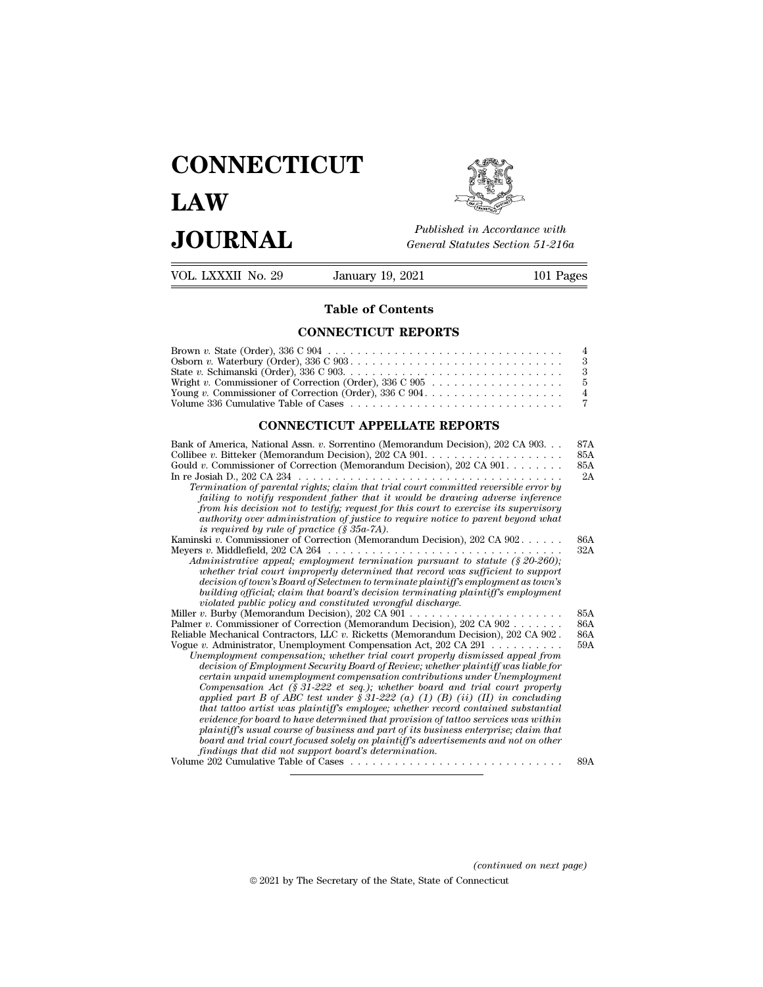## **CONNECTICUT LAW PUBLICE CONNECTICUT**<br> **Published in Accordance with**<br> **JOURNAL** *General Statutes Section 51-216a*<br> **Published in Accordance with** VOL. LXXXII No. 29 January 19, 2021 101 Pages



Published in A.<br>
General Statutes<br> **Table of Contents<br>
NECTICUT REPORTS** 

## **CONNECTICUT REPORTS**

| VULL LAAAH INO. 49 | January 19, 4041                                                                                                          | TUT Lages |
|--------------------|---------------------------------------------------------------------------------------------------------------------------|-----------|
|                    | <b>Table of Contents</b>                                                                                                  |           |
|                    | <b>CONNECTICUT REPORTS</b>                                                                                                |           |
|                    | Brown v. State (Order), $336 \text{ C } 904 \ldots \ldots \ldots \ldots \ldots \ldots \ldots \ldots \ldots \ldots \ldots$ |           |
|                    |                                                                                                                           |           |
|                    |                                                                                                                           |           |
|                    | Wright v. Commissioner of Correction (Order), $336 \text{ C } 905 \ldots \ldots \ldots \ldots \ldots \ldots$              |           |
|                    | Young v. Commissioner of Correction (Order), $336 \text{ C } 904$                                                         |           |
|                    |                                                                                                                           |           |
|                    | <b>CONNECTICUT APPELLATE REPORTS</b>                                                                                      |           |
|                    | Bank of America, National Assn. v. Sorrentino (Memorandum Decision), 202 CA 903.                                          | 87A       |
|                    |                                                                                                                           | 85A       |
|                    | Gould <i>n</i> . Commissioner of Correction (Memorandum Decision), 202 CA 901                                             | 85A       |

| Wright v. Commissioner of Correction (Order), 336 C 905<br>Volume 336 Cumulative Table of Cases                                                                                                                                                                                                                                                                                                                                                                                                                                                                                                                                                                                                                                                                                                                                                                                                                                                                                                                                                                                                   | 5<br>4<br>7              |  |  |  |
|---------------------------------------------------------------------------------------------------------------------------------------------------------------------------------------------------------------------------------------------------------------------------------------------------------------------------------------------------------------------------------------------------------------------------------------------------------------------------------------------------------------------------------------------------------------------------------------------------------------------------------------------------------------------------------------------------------------------------------------------------------------------------------------------------------------------------------------------------------------------------------------------------------------------------------------------------------------------------------------------------------------------------------------------------------------------------------------------------|--------------------------|--|--|--|
| <b>CONNECTICUT APPELLATE REPORTS</b>                                                                                                                                                                                                                                                                                                                                                                                                                                                                                                                                                                                                                                                                                                                                                                                                                                                                                                                                                                                                                                                              |                          |  |  |  |
| Bank of America, National Assn. v. Sorrentino (Memorandum Decision), 202 CA 903.<br>Gould v. Commissioner of Correction (Memorandum Decision), 202 CA $901. \ldots$<br>Termination of parental rights; claim that trial court committed reversible error by<br>failing to notify respondent father that it would be drawing adverse inference<br>from his decision not to testify; request for this court to exercise its supervisory<br>authority over administration of justice to require notice to parent beyond what<br>is required by rule of practice $(\S 35a-7A)$ .                                                                                                                                                                                                                                                                                                                                                                                                                                                                                                                      | 87A<br>85A<br>85A<br>2A  |  |  |  |
| Kaminski v. Commissioner of Correction (Memorandum Decision), 202 CA 902.<br>Administrative appeal; employment termination pursuant to statute $(8, 20-260)$ ;<br>whether trial court improperly determined that record was sufficient to support<br>decision of town's Board of Selectmen to terminate plaintiff's employment as town's<br>building official; claim that board's decision terminating plaintiff's employment<br>violated public policy and constituted wrongful discharge.                                                                                                                                                                                                                                                                                                                                                                                                                                                                                                                                                                                                       | 86A<br>32A               |  |  |  |
| Palmer v. Commissioner of Correction (Memorandum Decision), 202 CA 902<br>Reliable Mechanical Contractors, LLC $v$ . Ricketts (Memorandum Decision), 202 CA 902.<br>Vogue v. Administrator, Unemployment Compensation Act, 202 CA 291 $\dots \dots \dots$<br>Unemployment compensation; whether trial court properly dismissed appeal from<br>decision of Employment Security Board of Review; whether plaintiff was liable for<br>certain unpaid unemployment compensation contributions under Unemployment<br>Compensation Act (§ 31-222 et seq.); whether board and trial court properly<br>applied part B of ABC test under $\S 31-222$ (a) (1) (B) (ii) (II) in concluding<br>that tattoo artist was plaintiff's employee; whether record contained substantial<br>evidence for board to have determined that provision of tattoo services was within<br>plaintiff's usual course of business and part of its business enterprise; claim that<br>board and trial court focused solely on plaintiff's advertisements and not on other<br>findings that did not support board's determination. | 85A<br>86A<br>86A<br>59A |  |  |  |
| Volume 202 Cumulative Table of Cases                                                                                                                                                                                                                                                                                                                                                                                                                                                                                                                                                                                                                                                                                                                                                                                                                                                                                                                                                                                                                                                              | 89A                      |  |  |  |

*(continued on next page)*  $\label{eq:continued} (continued~on~next~page)$ © 2021 by The Secretary of the State, State of Connecticut